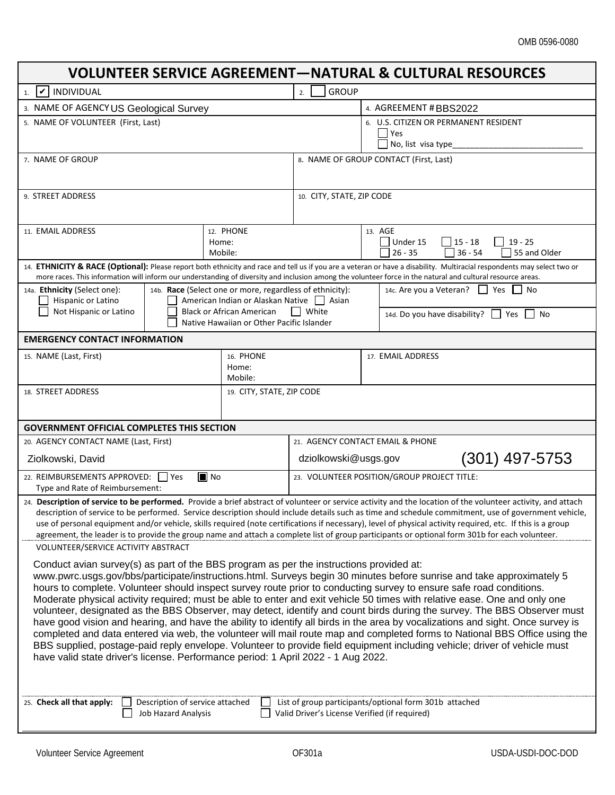## OMB 0596-0080

٦

| <b>VOLUNTEER SERVICE AGREEMENT-NATURAL &amp; CULTURAL RESOURCES</b>                                                                                                                                                                                                                                                                                                                                                                                                                                                                                                                                                                                                                                                                                                                                                                                                                                                                                                                                                                                                                 |                                           |                                             |                                                                                                                                                                         |  |  |
|-------------------------------------------------------------------------------------------------------------------------------------------------------------------------------------------------------------------------------------------------------------------------------------------------------------------------------------------------------------------------------------------------------------------------------------------------------------------------------------------------------------------------------------------------------------------------------------------------------------------------------------------------------------------------------------------------------------------------------------------------------------------------------------------------------------------------------------------------------------------------------------------------------------------------------------------------------------------------------------------------------------------------------------------------------------------------------------|-------------------------------------------|---------------------------------------------|-------------------------------------------------------------------------------------------------------------------------------------------------------------------------|--|--|
| INDIVIDUAL<br>$\boldsymbol{\mathcal{U}}$<br>1.                                                                                                                                                                                                                                                                                                                                                                                                                                                                                                                                                                                                                                                                                                                                                                                                                                                                                                                                                                                                                                      |                                           | <b>GROUP</b><br>2.                          |                                                                                                                                                                         |  |  |
| 3. NAME OF AGENCYUS Geological Survey                                                                                                                                                                                                                                                                                                                                                                                                                                                                                                                                                                                                                                                                                                                                                                                                                                                                                                                                                                                                                                               |                                           |                                             | 4. AGREEMENT # BBS2022                                                                                                                                                  |  |  |
| 5. NAME OF VOLUNTEER (First, Last)                                                                                                                                                                                                                                                                                                                                                                                                                                                                                                                                                                                                                                                                                                                                                                                                                                                                                                                                                                                                                                                  |                                           |                                             | 6. U.S. CITIZEN OR PERMANENT RESIDENT<br>$ $ Yes<br>No, list visa type                                                                                                  |  |  |
| 7. NAME OF GROUP                                                                                                                                                                                                                                                                                                                                                                                                                                                                                                                                                                                                                                                                                                                                                                                                                                                                                                                                                                                                                                                                    |                                           |                                             | 8. NAME OF GROUP CONTACT (First, Last)                                                                                                                                  |  |  |
| 9. STREET ADDRESS                                                                                                                                                                                                                                                                                                                                                                                                                                                                                                                                                                                                                                                                                                                                                                                                                                                                                                                                                                                                                                                                   |                                           | 10. CITY, STATE, ZIP CODE                   |                                                                                                                                                                         |  |  |
| 11. EMAIL ADDRESS<br>12. PHONE<br>Home:<br>Mobile:                                                                                                                                                                                                                                                                                                                                                                                                                                                                                                                                                                                                                                                                                                                                                                                                                                                                                                                                                                                                                                  |                                           |                                             | 13. AGE<br>Under 15<br>$15 - 18$<br>$19 - 25$<br>ΙI<br>$36 - 54$<br>$26 - 35$<br>55 and Older                                                                           |  |  |
| more races. This information will inform our understanding of diversity and inclusion among the volunteer force in the natural and cultural resource areas.                                                                                                                                                                                                                                                                                                                                                                                                                                                                                                                                                                                                                                                                                                                                                                                                                                                                                                                         |                                           |                                             | 14. ETHNICITY & RACE (Optional): Please report both ethnicity and race and tell us if you are a veteran or have a disability. Multiracial respondents may select two or |  |  |
| 14a. Ethnicity (Select one):<br>14b. Race (Select one or more, regardless of ethnicity):<br>Hispanic or Latino<br>American Indian or Alaskan Native   Asian<br><b>Black or African American</b>                                                                                                                                                                                                                                                                                                                                                                                                                                                                                                                                                                                                                                                                                                                                                                                                                                                                                     |                                           |                                             | 14c. Are you a Veteran?   Yes No                                                                                                                                        |  |  |
| Not Hispanic or Latino                                                                                                                                                                                                                                                                                                                                                                                                                                                                                                                                                                                                                                                                                                                                                                                                                                                                                                                                                                                                                                                              | Native Hawaiian or Other Pacific Islander | White                                       | 14d. Do you have disability? Ves<br>l No                                                                                                                                |  |  |
| <b>EMERGENCY CONTACT INFORMATION</b>                                                                                                                                                                                                                                                                                                                                                                                                                                                                                                                                                                                                                                                                                                                                                                                                                                                                                                                                                                                                                                                |                                           |                                             |                                                                                                                                                                         |  |  |
| 16. PHONE<br>15. NAME (Last, First)<br>Home:<br>Mobile:                                                                                                                                                                                                                                                                                                                                                                                                                                                                                                                                                                                                                                                                                                                                                                                                                                                                                                                                                                                                                             |                                           |                                             | 17. EMAIL ADDRESS                                                                                                                                                       |  |  |
| 18. STREET ADDRESS<br>19. CITY, STATE, ZIP CODE                                                                                                                                                                                                                                                                                                                                                                                                                                                                                                                                                                                                                                                                                                                                                                                                                                                                                                                                                                                                                                     |                                           |                                             |                                                                                                                                                                         |  |  |
| <b>GOVERNMENT OFFICIAL COMPLETES THIS SECTION</b>                                                                                                                                                                                                                                                                                                                                                                                                                                                                                                                                                                                                                                                                                                                                                                                                                                                                                                                                                                                                                                   |                                           |                                             |                                                                                                                                                                         |  |  |
| 20. AGENCY CONTACT NAME (Last, First)                                                                                                                                                                                                                                                                                                                                                                                                                                                                                                                                                                                                                                                                                                                                                                                                                                                                                                                                                                                                                                               |                                           | 21. AGENCY CONTACT EMAIL & PHONE            |                                                                                                                                                                         |  |  |
| Ziolkowski, David                                                                                                                                                                                                                                                                                                                                                                                                                                                                                                                                                                                                                                                                                                                                                                                                                                                                                                                                                                                                                                                                   |                                           | (301) 497-5753<br>dziolkowski@usgs.gov      |                                                                                                                                                                         |  |  |
| $\blacksquare$ No<br>22. REIMBURSEMENTS APPROVED:   Yes<br>Type and Rate of Reimbursement:                                                                                                                                                                                                                                                                                                                                                                                                                                                                                                                                                                                                                                                                                                                                                                                                                                                                                                                                                                                          |                                           | 23. VOLUNTEER POSITION/GROUP PROJECT TITLE: |                                                                                                                                                                         |  |  |
| 24. Description of service to be performed. Provide a brief abstract of volunteer or service activity and the location of the volunteer activity, and attach<br>description of service to be performed. Service description should include details such as time and schedule commitment, use of government vehicle,<br>use of personal equipment and/or vehicle, skills required (note certifications if necessary), level of physical activity required, etc. If this is a group<br>agreement, the leader is to provide the group name and attach a complete list of group participants or optional form 301b for each volunteer.<br>VOLUNTEER/SERVICE ACTIVITY ABSTRACT                                                                                                                                                                                                                                                                                                                                                                                                           |                                           |                                             |                                                                                                                                                                         |  |  |
| Conduct avian survey(s) as part of the BBS program as per the instructions provided at:<br>www.pwrc.usgs.gov/bbs/participate/instructions.html. Surveys begin 30 minutes before sunrise and take approximately 5<br>hours to complete. Volunteer should inspect survey route prior to conducting survey to ensure safe road conditions.<br>Moderate physical activity required; must be able to enter and exit vehicle 50 times with relative ease. One and only one<br>volunteer, designated as the BBS Observer, may detect, identify and count birds during the survey. The BBS Observer must<br>have good vision and hearing, and have the ability to identify all birds in the area by vocalizations and sight. Once survey is<br>completed and data entered via web, the volunteer will mail route map and completed forms to National BBS Office using the<br>BBS supplied, postage-paid reply envelope. Volunteer to provide field equipment including vehicle; driver of vehicle must<br>have valid state driver's license. Performance period: 1 April 2022 - 1 Aug 2022. |                                           |                                             |                                                                                                                                                                         |  |  |
| List of group participants/optional form 301b attached<br>25. Check all that apply:<br>Description of service attached<br>Valid Driver's License Verified (if required)<br><b>Job Hazard Analysis</b>                                                                                                                                                                                                                                                                                                                                                                                                                                                                                                                                                                                                                                                                                                                                                                                                                                                                               |                                           |                                             |                                                                                                                                                                         |  |  |